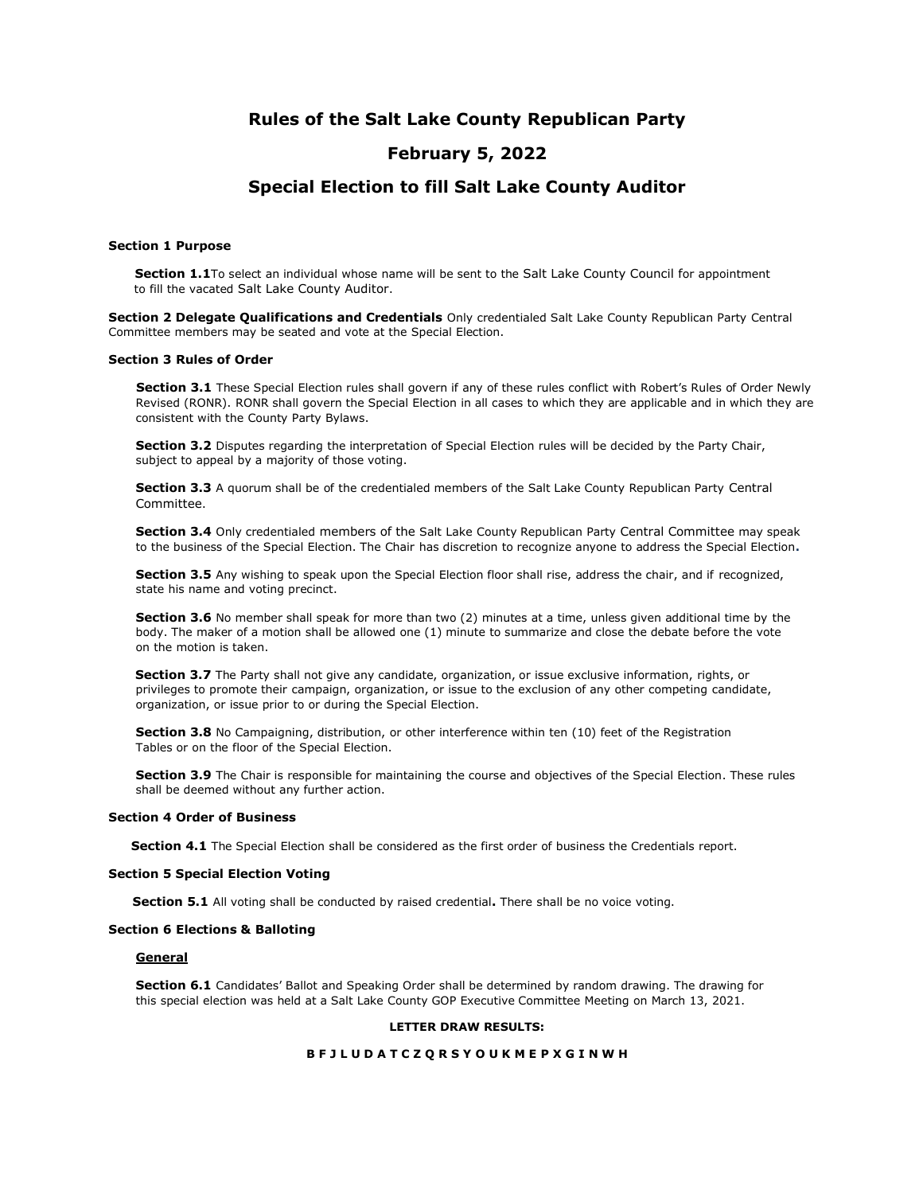# **Rules of the Salt Lake County Republican Party**

# **February 5, 2022**

# **Special Election to fill Salt Lake County Auditor**

#### **Section 1 Purpose**

**Section 1.1**To select an individual whose name will be sent to the Salt Lake County Council for appointment to fill the vacated Salt Lake County Auditor.

**Section 2 Delegate Qualifications and Credentials** Only credentialed Salt Lake County Republican Party Central Committee members may be seated and vote at the Special Election.

### **Section 3 Rules of Order**

**Section 3.1** These Special Election rules shall govern if any of these rules conflict with Robert's Rules of Order Newly Revised (RONR). RONR shall govern the Special Election in all cases to which they are applicable and in which they are consistent with the County Party Bylaws.

**Section 3.2** Disputes regarding the interpretation of Special Election rules will be decided by the Party Chair, subject to appeal by a majority of those voting.

**Section 3.3** A quorum shall be of the credentialed members of the Salt Lake County Republican Party Central Committee.

**Section 3.4** Only credentialed members of the Salt Lake County Republican Party Central Committee may speak to the business of the Special Election. The Chair has discretion to recognize anyone to address the Special Election**.**

**Section 3.5** Any wishing to speak upon the Special Election floor shall rise, address the chair, and if recognized, state his name and voting precinct.

**Section 3.6** No member shall speak for more than two (2) minutes at a time, unless given additional time by the body. The maker of a motion shall be allowed one (1) minute to summarize and close the debate before the vote on the motion is taken.

**Section 3.7** The Party shall not give any candidate, organization, or issue exclusive information, rights, or privileges to promote their campaign, organization, or issue to the exclusion of any other competing candidate, organization, or issue prior to or during the Special Election.

**Section 3.8** No Campaigning, distribution, or other interference within ten (10) feet of the Registration Tables or on the floor of the Special Election.

**Section 3.9** The Chair is responsible for maintaining the course and objectives of the Special Election. These rules shall be deemed without any further action.

#### **Section 4 Order of Business**

**Section 4.1** The Special Election shall be considered as the first order of business the Credentials report.

#### **Section 5 Special Election Voting**

**Section 5.1** All voting shall be conducted by raised credential**.** There shall be no voice voting.

## **Section 6 Elections & Balloting**

#### **General**

**Section 6.1** Candidates' Ballot and Speaking Order shall be determined by random drawing. The drawing for this special election was held at a Salt Lake County GOP Executive Committee Meeting on March 13, 2021.

## **LETTER DRAW RESULTS:**

#### **B F J L U D A T C Z Q R S Y O U K M E P X G I N W H**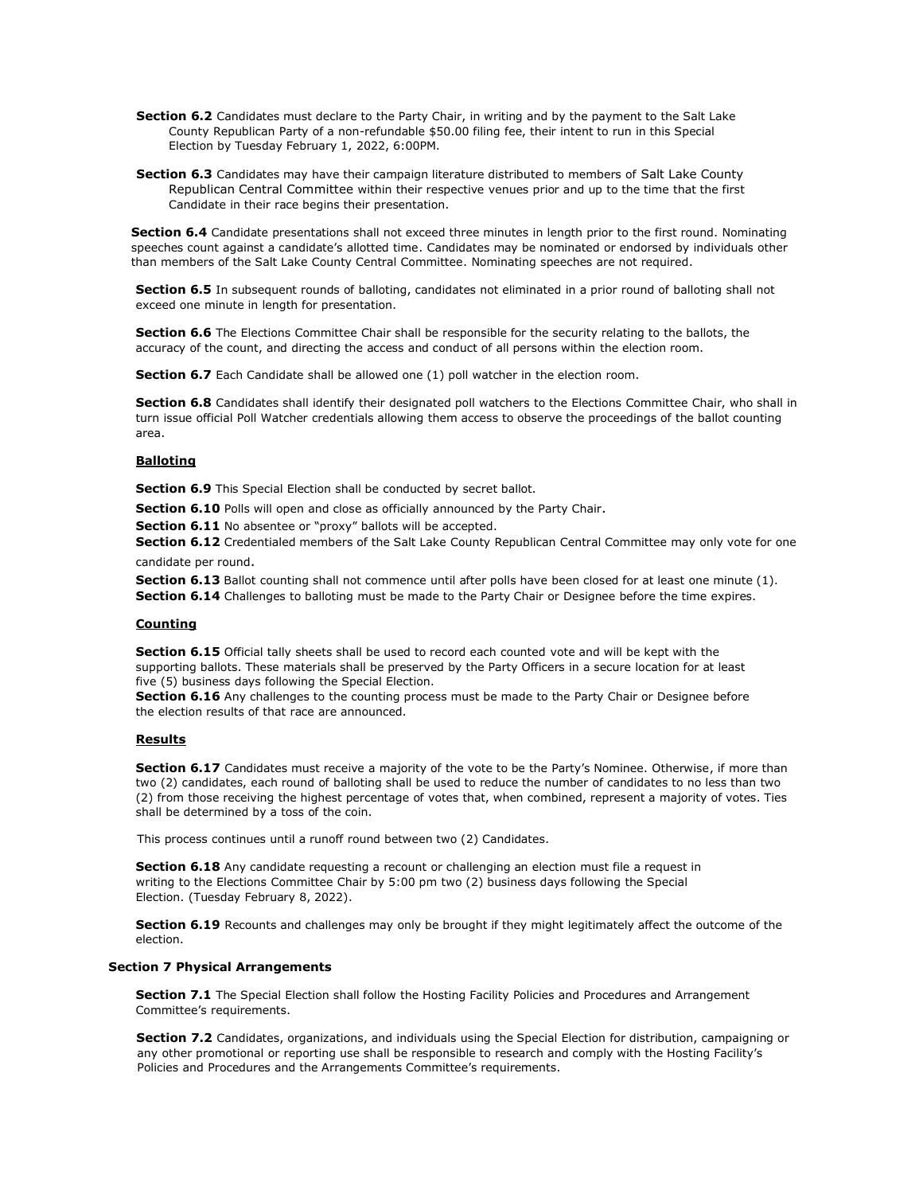- **Section 6.2** Candidates must declare to the Party Chair, in writing and by the payment to the Salt Lake County Republican Party of a non-refundable \$50.00 filing fee, their intent to run in this Special Election by Tuesday February 1, 2022, 6:00PM.
- **Section 6.3** Candidates may have their campaign literature distributed to members of Salt Lake County Republican Central Committee within their respective venues prior and up to the time that the first Candidate in their race begins their presentation.

**Section 6.4** Candidate presentations shall not exceed three minutes in length prior to the first round. Nominating speeches count against a candidate's allotted time. Candidates may be nominated or endorsed by individuals other than members of the Salt Lake County Central Committee. Nominating speeches are not required.

**Section 6.5** In subsequent rounds of balloting, candidates not eliminated in a prior round of balloting shall not exceed one minute in length for presentation.

**Section 6.6** The Elections Committee Chair shall be responsible for the security relating to the ballots, the accuracy of the count, and directing the access and conduct of all persons within the election room.

**Section 6.7** Each Candidate shall be allowed one (1) poll watcher in the election room.

**Section 6.8** Candidates shall identify their designated poll watchers to the Elections Committee Chair, who shall in turn issue official Poll Watcher credentials allowing them access to observe the proceedings of the ballot counting area.

### **Balloting**

Section 6.9 This Special Election shall be conducted by secret ballot.

**Section 6.10** Polls will open and close as officially announced by the Party Chair.

**Section 6.11** No absentee or "proxy" ballots will be accepted.

**Section 6.12** Credentialed members of the Salt Lake County Republican Central Committee may only vote for one candidate per round.

**Section 6.13** Ballot counting shall not commence until after polls have been closed for at least one minute (1).

**Section 6.14** Challenges to balloting must be made to the Party Chair or Designee before the time expires.

#### **Counting**

**Section 6.15** Official tally sheets shall be used to record each counted vote and will be kept with the supporting ballots. These materials shall be preserved by the Party Officers in a secure location for at least five (5) business days following the Special Election.

**Section 6.16** Any challenges to the counting process must be made to the Party Chair or Designee before the election results of that race are announced.

## **Results**

**Section 6.17** Candidates must receive a majority of the vote to be the Party's Nominee. Otherwise, if more than two (2) candidates, each round of balloting shall be used to reduce the number of candidates to no less than two (2) from those receiving the highest percentage of votes that, when combined, represent a majority of votes. Ties shall be determined by a toss of the coin.

This process continues until a runoff round between two (2) Candidates.

**Section 6.18** Any candidate requesting a recount or challenging an election must file a request in writing to the Elections Committee Chair by 5:00 pm two (2) business days following the Special Election. (Tuesday February 8, 2022).

**Section 6.19** Recounts and challenges may only be brought if they might legitimately affect the outcome of the election.

#### **Section 7 Physical Arrangements**

**Section 7.1** The Special Election shall follow the Hosting Facility Policies and Procedures and Arrangement Committee's requirements.

**Section 7.2** Candidates, organizations, and individuals using the Special Election for distribution, campaigning or any other promotional or reporting use shall be responsible to research and comply with the Hosting Facility's Policies and Procedures and the Arrangements Committee's requirements.